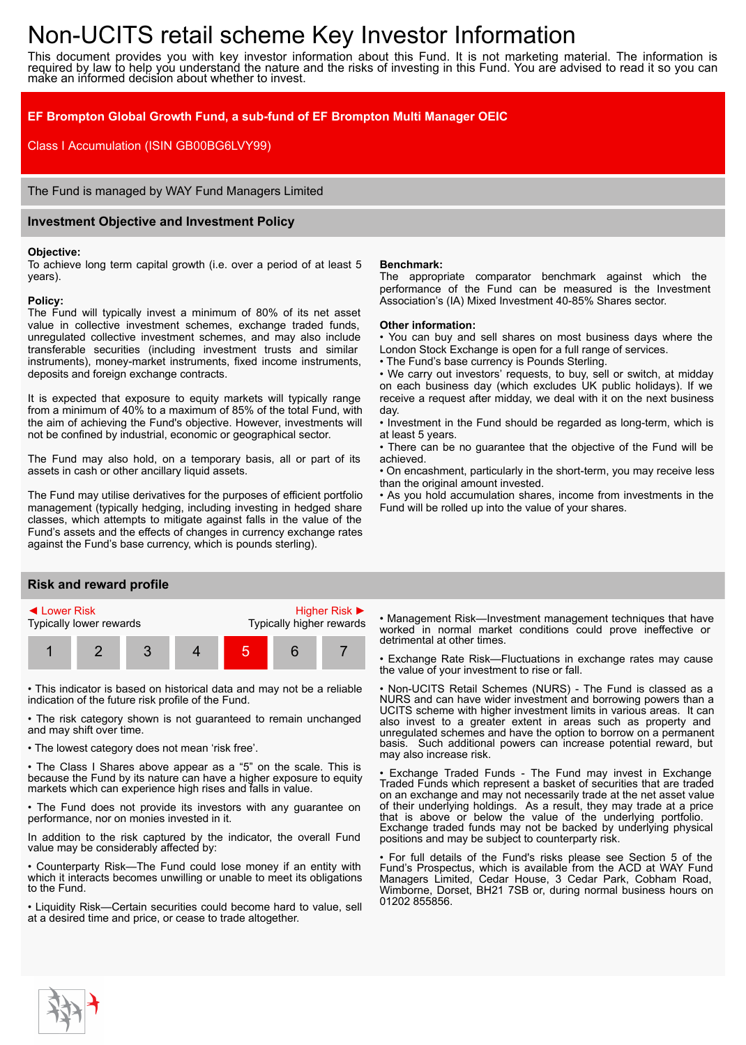# Non-UCITS retail scheme Key Investor Information

This document provides you with key investor information about this Fund. It is not marketing material. The information is required by law to help you understand the nature and the risks of investing in this Fund. You are advised to read it so you can make an informed decision about whether to invest.

## **EF Brompton Global Growth Fund, a sub-fund of EF Brompton Multi Manager OEIC**

Class I Accumulation (ISIN GB00BG6LVY99)

The Fund is managed by WAY Fund Managers Limited

## **Investment Objective and Investment Policy**

#### **Objective:**

To achieve long term capital growth (i.e. over a period of at least 5 years).

#### **Policy:**

The Fund will typically invest a minimum of 80% of its net asset value in collective investment schemes, exchange traded funds, unregulated collective investment schemes, and may also include transferable securities (including investment trusts and similar instruments), money-market instruments, fixed income instruments, deposits and foreign exchange contracts.

It is expected that exposure to equity markets will typically range from a minimum of 40% to a maximum of 85% of the total Fund, with the aim of achieving the Fund's objective. However, investments will not be confined by industrial, economic or geographical sector.

The Fund may also hold, on a temporary basis, all or part of its assets in cash or other ancillary liquid assets.

The Fund may utilise derivatives for the purposes of efficient portfolio management (typically hedging, including investing in hedged share classes, which attempts to mitigate against falls in the value of the Fund's assets and the effects of changes in currency exchange rates against the Fund's base currency, which is pounds sterling).

## **Risk and reward profile**



• This indicator is based on historical data and may not be a reliable indication of the future risk profile of the Fund.

• The risk category shown is not guaranteed to remain unchanged and may shift over time.

• The lowest category does not mean 'risk free'.

• The Class I Shares above appear as a "5" on the scale. This is because the Fund by its nature can have a higher exposure to equity markets which can experience high rises and falls in value.

• The Fund does not provide its investors with any guarantee on performance, nor on monies invested in it.

In addition to the risk captured by the indicator, the overall Fund value may be considerably affected by:

• Counterparty Risk—The Fund could lose money if an entity with which it interacts becomes unwilling or unable to meet its obligations to the Fund.

• Liquidity Risk—Certain securities could become hard to value, sell at a desired time and price, or cease to trade altogether.

### **Benchmark:**

The appropriate comparator benchmark against which the performance of the Fund can be measured is the Investment Association's (IA) Mixed Investment 40-85% Shares sector.

#### **Other information:**

• You can buy and sell shares on most business days where the London Stock Exchange is open for a full range of services.

• The Fund's base currency is Pounds Sterling.

• We carry out investors' requests, to buy, sell or switch, at midday on each business day (which excludes UK public holidays). If we receive a request after midday, we deal with it on the next business day.

• Investment in the Fund should be regarded as long-term, which is at least 5 years.

• There can be no guarantee that the objective of the Fund will be achieved.

• On encashment, particularly in the short-term, you may receive less than the original amount invested.

• As you hold accumulation shares, income from investments in the Fund will be rolled up into the value of your shares.

• Management Risk—Investment management techniques that have worked in normal market conditions could prove ineffective or detrimental at other times.

• Exchange Rate Risk—Fluctuations in exchange rates may cause the value of your investment to rise or fall.

• Non-UCITS Retail Schemes (NURS) - The Fund is classed as a NURS and can have wider investment and borrowing powers than a UCITS scheme with higher investment limits in various areas. It can also invest to a greater extent in areas such as property and unregulated schemes and have the option to borrow on a permanent basis. Such additional powers can increase potential reward, but may also increase risk.

Exchange Traded Funds - The Fund may invest in Exchange Traded Funds which represent a basket of securities that are traded on an exchange and may not necessarily trade at the net asset value of their underlying holdings. As a result, they may trade at a price that is above or below the value of the underlying portfolio. Exchange traded funds may not be backed by underlying physical positions and may be subject to counterparty risk.

• For full details of the Fund's risks please see Section 5 of the Fund's Prospectus, which is available from the ACD at WAY Fund Managers Limited, Cedar House, 3 Cedar Park, Cobham Road, Wimborne, Dorset, BH21 7SB or, during normal business hours on 01202 855856.